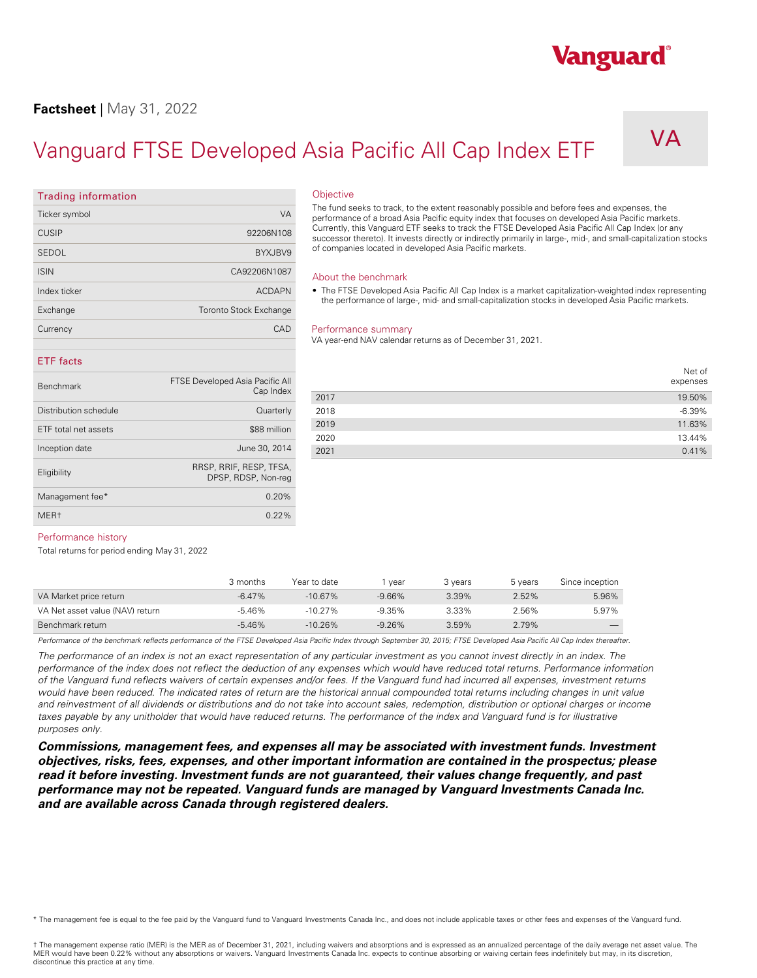### **Factsheet** | May 31, 2022

Ticker symbol VA

ISIN CA92206N1087 Index ticker ACDAPN ACDAPN Exchange Toronto Stock Exchange **Currency CAD** 

Inception date June 30, 2014 Eligibility RRSP, RRIF, RESP, TFSA,

Management fee $*$  0.20% MER† 0.22%

**Trading information** 

## Vanguard FTSE Developed Asia Pacific All Cap Index ETF

**Objective** 

DPSP, RDSP, Non-reg

Eurrently, this Vanguard ETF seeks to track the FTSE Developed Asia Pacific All Cap Index (or any 92206N108 Currently, this Vanguard ETF seeks to track the FTSE Developed Asia Pacific All Cap Index (or any SEDOL BYXJBV9 DATA DATA DATA DA SEDOL BYXJBV9 DATA DATA DA SEDOL BYXJBV9 DATA DATA DATA DATA DATA DATA DATA DA The fund seeks to track, to the extent reasonably possible and before fees and expenses, the performance of a broad Asia Pacific equity index that focuses on developed Asia Pacific markets. successor thereto). It invests directly or indirectly primarily in large-, mid-, and small-capitalization stocks of companies located in developed Asia Pacific markets.

#### About the benchmark

• The FTSE Developed Asia Pacific All Cap Index is a market capitalization-weighted index representing the performance of large-, mid- and small-capitalization stocks in developed Asia Pacific markets.

#### Performance summary

VA year-end NAV calendar returns as of December 31, 2021.

|                       |                                 |      | Net of   |
|-----------------------|---------------------------------|------|----------|
| <b>Benchmark</b>      | FTSE Developed Asia Pacific All |      | expenses |
|                       | Cap Index                       | 2017 | 19.50%   |
| Distribution schedule | Quarterly                       | 2018 | $-6.39%$ |
| ETF total net assets  | \$88 million                    | 2019 | 11.63%   |
|                       |                                 | 2020 | 13.44%   |
| Inception date        | June 30, 2014                   | 2021 | 0.41%    |

#### Performance history

**ETF facts** 

Total returns for period ending May 31, 2022

|                                 | 3 months  | Year to date | vear     | 3 vears | 5 years | Since inception |
|---------------------------------|-----------|--------------|----------|---------|---------|-----------------|
| VA Market price return          | $-6.47\%$ | $-10.67\%$   | $-9.66%$ | 3.39%   | 2.52%   | 5.96%           |
| VA Net asset value (NAV) return | -5.46%    | $-10.27\%$   | $-9.35%$ | 3.33%   | 2.56%   | 5.97%           |
| Benchmark return                | $-5.46%$  | $-10.26%$    | $-9.26%$ | 3.59%   | 2.79%   |                 |

Performance of the benchmark reflects performance of the FTSE Developed Asia Pacific Index through September 30, 2015; FTSE Developed Asia Pacific All Cap Index thereafter.

*The performance of an index is not an exact representation of any particular investment as you cannot invest directly in an index. The performance of the index does not reflect the deduction of any expenses which would have reduced total returns. Performance information of the Vanguard fund reflects waivers of certain expenses and/or fees. If the Vanguard fund had incurred all expenses, investment returns*  would have been reduced. The indicated rates of return are the historical annual compounded total returns including changes in unit value and reinvestment of all dividends or distributions and do not take into account sales, redemption, distribution or optional charges or income taxes payable by any unitholder that would have reduced returns. The performance of the index and Vanguard fund is for illustrative *purposes only.* 

*Commissions, management fees, and expenses all may be associated with investment funds. Investment objectives, risks, fees, expenses, and other important information are contained in the prospectus; please read it before investing. Investment funds are not guaranteed, their values change frequently, and past performance may not be repeated. Vanguard funds are managed by Vanguard Investments Canada Inc. and are available across Canada through registered dealers.* 

\* The management fee is equal to the fee paid by the Vanguard fund to Vanguard Investments Canada Inc., and does not include applicable taxes or other fees and expenses of the Vanguard fund.

## Vanguard®

## VA